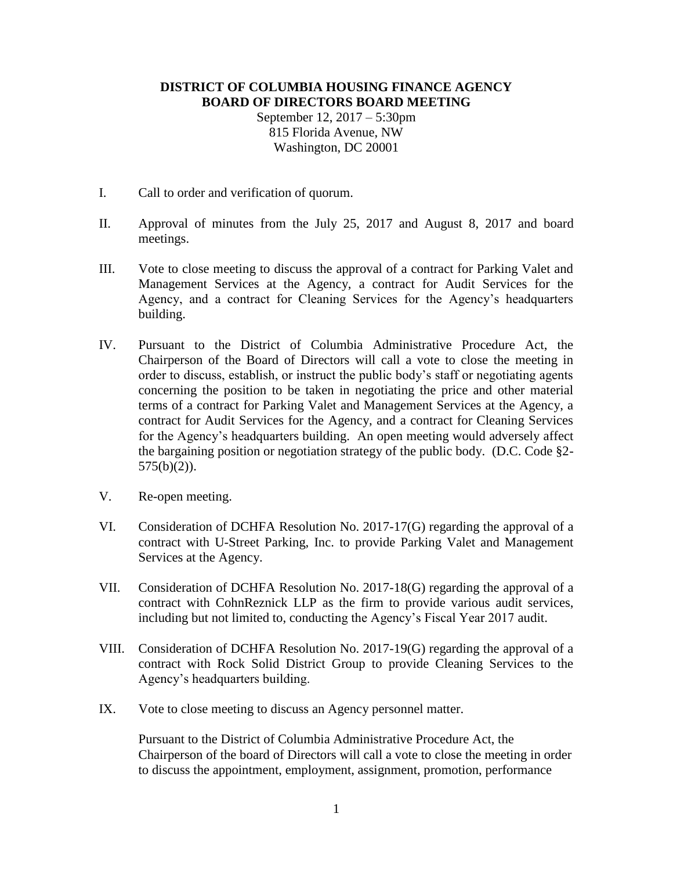## **DISTRICT OF COLUMBIA HOUSING FINANCE AGENCY BOARD OF DIRECTORS BOARD MEETING**

September 12, 2017 – 5:30pm 815 Florida Avenue, NW Washington, DC 20001

- I. Call to order and verification of quorum.
- II. Approval of minutes from the July 25, 2017 and August 8, 2017 and board meetings.
- III. Vote to close meeting to discuss the approval of a contract for Parking Valet and Management Services at the Agency, a contract for Audit Services for the Agency, and a contract for Cleaning Services for the Agency's headquarters building.
- IV. Pursuant to the District of Columbia Administrative Procedure Act, the Chairperson of the Board of Directors will call a vote to close the meeting in order to discuss, establish, or instruct the public body's staff or negotiating agents concerning the position to be taken in negotiating the price and other material terms of a contract for Parking Valet and Management Services at the Agency, a contract for Audit Services for the Agency, and a contract for Cleaning Services for the Agency's headquarters building. An open meeting would adversely affect the bargaining position or negotiation strategy of the public body. (D.C. Code §2-  $575(b)(2)$ ).
- V. Re-open meeting.
- VI. Consideration of DCHFA Resolution No. 2017-17(G) regarding the approval of a contract with U-Street Parking, Inc. to provide Parking Valet and Management Services at the Agency.
- VII. Consideration of DCHFA Resolution No. 2017-18(G) regarding the approval of a contract with CohnReznick LLP as the firm to provide various audit services, including but not limited to, conducting the Agency's Fiscal Year 2017 audit.
- VIII. Consideration of DCHFA Resolution No. 2017-19(G) regarding the approval of a contract with Rock Solid District Group to provide Cleaning Services to the Agency's headquarters building.
- IX. Vote to close meeting to discuss an Agency personnel matter.

Pursuant to the District of Columbia Administrative Procedure Act, the Chairperson of the board of Directors will call a vote to close the meeting in order to discuss the appointment, employment, assignment, promotion, performance